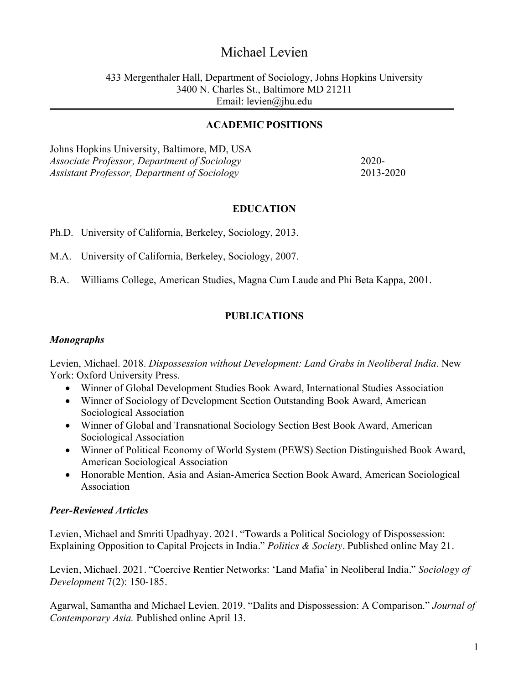# Michael Levien

#### 433 Mergenthaler Hall, Department of Sociology, Johns Hopkins University 3400 N. Charles St., Baltimore MD 21211 Email: levien@jhu.edu

#### **ACADEMIC POSITIONS**

Johns Hopkins University, Baltimore, MD, USA *Associate Professor, Department of Sociology* 2020-*Assistant Professor, Department of Sociology* 2013-2020

#### **EDUCATION**

Ph.D. University of California, Berkeley, Sociology, 2013.

M.A. University of California, Berkeley, Sociology, 2007.

B.A. Williams College, American Studies, Magna Cum Laude and Phi Beta Kappa, 2001.

## **PUBLICATIONS**

#### *Monographs*

Levien, Michael. 2018. *Dispossession without Development: Land Grabs in Neoliberal India*. New York: Oxford University Press.

- Winner of Global Development Studies Book Award, International Studies Association
- Winner of Sociology of Development Section Outstanding Book Award, American Sociological Association
- Winner of Global and Transnational Sociology Section Best Book Award, American Sociological Association
- Winner of Political Economy of World System (PEWS) Section Distinguished Book Award, American Sociological Association
- Honorable Mention, Asia and Asian-America Section Book Award, American Sociological Association

## *Peer-Reviewed Articles*

Levien, Michael and Smriti Upadhyay. 2021. "Towards a Political Sociology of Dispossession: Explaining Opposition to Capital Projects in India." *Politics & Society*. Published online May 21.

Levien, Michael. 2021. "Coercive Rentier Networks: 'Land Mafia' in Neoliberal India." *Sociology of Development* 7(2): 150-185.

Agarwal, Samantha and Michael Levien. 2019. "Dalits and Dispossession: A Comparison." *Journal of Contemporary Asia.* Published online April 13.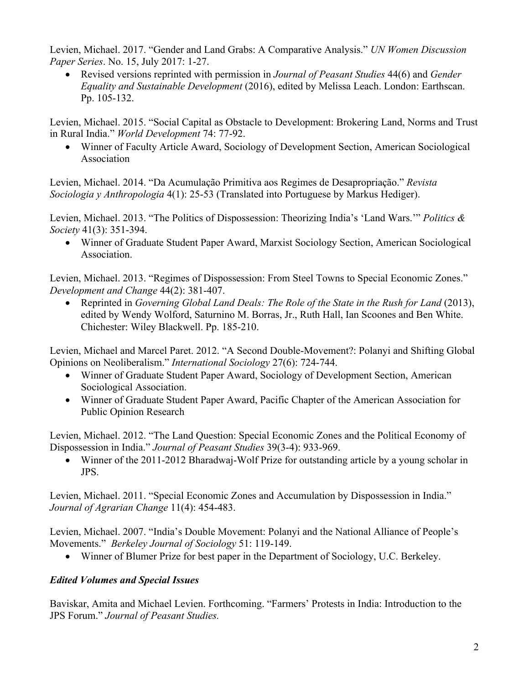Levien, Michael. 2017. "Gender and Land Grabs: A Comparative Analysis." *UN Women Discussion Paper Series*. No. 15, July 2017: 1-27.

• Revised versions reprinted with permission in *Journal of Peasant Studies* 44(6) and *Gender Equality and Sustainable Development* (2016), edited by Melissa Leach. London: Earthscan. Pp. 105-132.

Levien, Michael. 2015. "Social Capital as Obstacle to Development: Brokering Land, Norms and Trust in Rural India." *World Development* 74: 77-92.

• Winner of Faculty Article Award, Sociology of Development Section, American Sociological Association

Levien, Michael. 2014. "Da Acumulação Primitiva aos Regimes de Desapropriação." *Revista Sociologia y Anthropologia* 4(1): 25-53 (Translated into Portuguese by Markus Hediger).

Levien, Michael. 2013. "The Politics of Dispossession: Theorizing India's 'Land Wars.'" *Politics & Society* 41(3): 351-394.

• Winner of Graduate Student Paper Award, Marxist Sociology Section, American Sociological Association.

Levien, Michael. 2013. "Regimes of Dispossession: From Steel Towns to Special Economic Zones." *Development and Change* 44(2): 381-407.

• Reprinted in *Governing Global Land Deals: The Role of the State in the Rush for Land* (2013), edited by Wendy Wolford, Saturnino M. Borras, Jr., Ruth Hall, Ian Scoones and Ben White. Chichester: Wiley Blackwell. Pp. 185-210.

Levien, Michael and Marcel Paret. 2012. "A Second Double-Movement?: Polanyi and Shifting Global Opinions on Neoliberalism." *International Sociology* 27(6): 724-744.

- Winner of Graduate Student Paper Award, Sociology of Development Section, American Sociological Association.
- Winner of Graduate Student Paper Award, Pacific Chapter of the American Association for Public Opinion Research

Levien, Michael. 2012. "The Land Question: Special Economic Zones and the Political Economy of Dispossession in India." *Journal of Peasant Studies* 39(3-4): 933-969.

• Winner of the 2011-2012 Bharadwaj-Wolf Prize for outstanding article by a young scholar in JPS.

Levien, Michael. 2011. "Special Economic Zones and Accumulation by Dispossession in India." *Journal of Agrarian Change* 11(4): 454-483.

Levien, Michael. 2007. "India's Double Movement: Polanyi and the National Alliance of People's Movements." *Berkeley Journal of Sociology* 51: 119-149.

• Winner of Blumer Prize for best paper in the Department of Sociology, U.C. Berkeley.

## *Edited Volumes and Special Issues*

Baviskar, Amita and Michael Levien. Forthcoming. "Farmers' Protests in India: Introduction to the JPS Forum." *Journal of Peasant Studies.*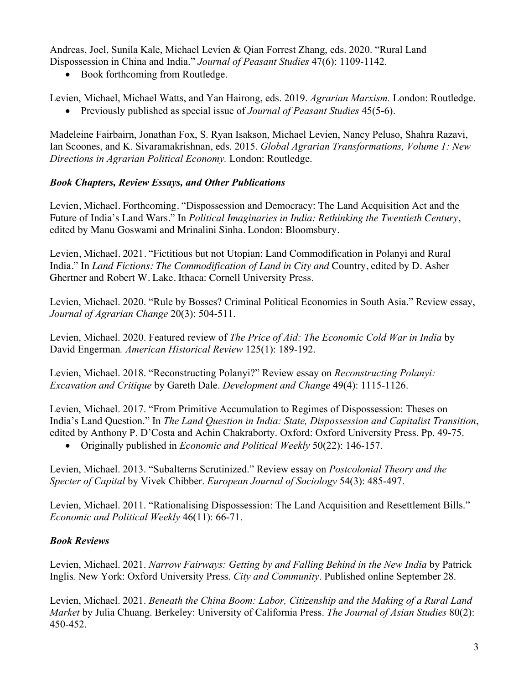Andreas, Joel, Sunila Kale, Michael Levien & Qian Forrest Zhang, eds. 2020. "Rural Land Dispossession in China and India." *Journal of Peasant Studies* 47(6): 1109-1142.

• Book forthcoming from Routledge.

Levien, Michael, Michael Watts, and Yan Hairong, eds. 2019. *Agrarian Marxism.* London: Routledge.

• Previously published as special issue of *Journal of Peasant Studies* 45(5-6).

Madeleine Fairbairn, Jonathan Fox, S. Ryan Isakson, Michael Levien, Nancy Peluso, Shahra Razavi, Ian Scoones, and K. Sivaramakrishnan, eds. 2015. *Global Agrarian Transformations, Volume 1: New Directions in Agrarian Political Economy.* London: Routledge.

## *Book Chapters, Review Essays, and Other Publications*

Levien, Michael. Forthcoming. "Dispossession and Democracy: The Land Acquisition Act and the Future of India's Land Wars." In *Political Imaginaries in India: Rethinking the Twentieth Century*, edited by Manu Goswami and Mrinalini Sinha. London: Bloomsbury.

Levien, Michael. 2021. "Fictitious but not Utopian: Land Commodification in Polanyi and Rural India." In *Land Fictions: The Commodification of Land in City and* Country, edited by D. Asher Ghertner and Robert W. Lake. Ithaca: Cornell University Press.

Levien, Michael. 2020. "Rule by Bosses? Criminal Political Economies in South Asia." Review essay, *Journal of Agrarian Change* 20(3): 504-511.

Levien, Michael. 2020. Featured review of *The Price of Aid: The Economic Cold War in India* by David Engerman*. American Historical Review* 125(1): 189-192.

Levien, Michael. 2018. "Reconstructing Polanyi?" Review essay on *Reconstructing Polanyi: Excavation and Critique* by Gareth Dale. *Development and Change* 49(4): 1115-1126.

Levien, Michael. 2017. "From Primitive Accumulation to Regimes of Dispossession: Theses on India's Land Question." In *The Land Question in India: State, Dispossession and Capitalist Transition*, edited by Anthony P. D'Costa and Achin Chakraborty. Oxford: Oxford University Press. Pp. 49-75.

• Originally published in *Economic and Political Weekly* 50(22): 146-157.

Levien, Michael. 2013. "Subalterns Scrutinized." Review essay on *Postcolonial Theory and the Specter of Capital* by Vivek Chibber. *European Journal of Sociology* 54(3): 485-497.

Levien, Michael. 2011. "Rationalising Dispossession: The Land Acquisition and Resettlement Bills." *Economic and Political Weekly* 46(11): 66-71.

## *Book Reviews*

Levien, Michael. 2021. *Narrow Fairways: Getting by and Falling Behind in the New India* by Patrick Inglis*.* New York: Oxford University Press. *City and Community*. Published online September 28.

Levien, Michael. 2021. *Beneath the China Boom: Labor, Citizenship and the Making of a Rural Land Market* by Julia Chuang. Berkeley: University of California Press. *The Journal of Asian Studies* 80(2): 450-452.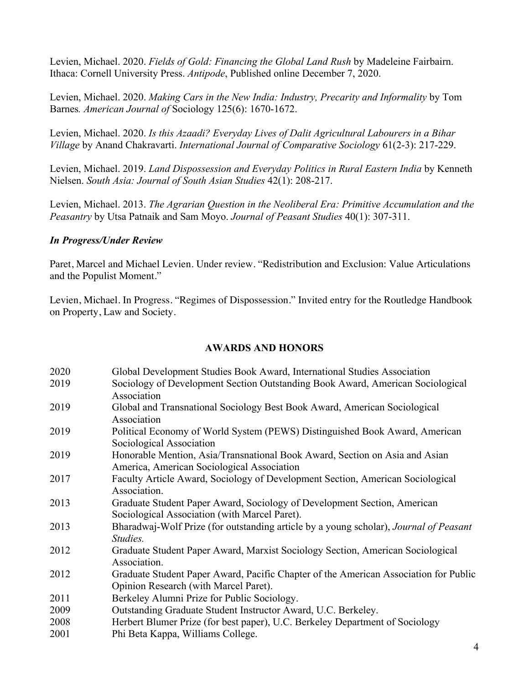Levien, Michael. 2020. *Fields of Gold: Financing the Global Land Rush* by Madeleine Fairbairn. Ithaca: Cornell University Press. *Antipode*, Published online December 7, 2020.

Levien, Michael. 2020. *Making Cars in the New India: Industry, Precarity and Informality* by Tom Barnes*. American Journal of* Sociology 125(6): 1670-1672.

Levien, Michael. 2020. *Is this Azaadi? Everyday Lives of Dalit Agricultural Labourers in a Bihar Village* by Anand Chakravarti. *International Journal of Comparative Sociology* 61(2-3): 217-229.

Levien, Michael. 2019. *Land Dispossession and Everyday Politics in Rural Eastern India* by Kenneth Nielsen. *South Asia: Journal of South Asian Studies* 42(1): 208-217.

Levien, Michael. 2013. *The Agrarian Question in the Neoliberal Era: Primitive Accumulation and the Peasantry* by Utsa Patnaik and Sam Moyo. *Journal of Peasant Studies* 40(1): 307-311.

#### *In Progress/Under Review*

Paret, Marcel and Michael Levien. Under review. "Redistribution and Exclusion: Value Articulations and the Populist Moment."

Levien, Michael. In Progress. "Regimes of Dispossession." Invited entry for the Routledge Handbook on Property, Law and Society.

#### **AWARDS AND HONORS**

| 2020 | Global Development Studies Book Award, International Studies Association                                                  |
|------|---------------------------------------------------------------------------------------------------------------------------|
| 2019 | Sociology of Development Section Outstanding Book Award, American Sociological                                            |
|      | Association                                                                                                               |
| 2019 | Global and Transnational Sociology Best Book Award, American Sociological<br>Association                                  |
| 2019 | Political Economy of World System (PEWS) Distinguished Book Award, American                                               |
|      | Sociological Association                                                                                                  |
| 2019 | Honorable Mention, Asia/Transnational Book Award, Section on Asia and Asian<br>America, American Sociological Association |
| 2017 | Faculty Article Award, Sociology of Development Section, American Sociological                                            |
|      | Association.                                                                                                              |
| 2013 | Graduate Student Paper Award, Sociology of Development Section, American                                                  |
|      | Sociological Association (with Marcel Paret).                                                                             |
| 2013 | Bharadwaj-Wolf Prize (for outstanding article by a young scholar), Journal of Peasant<br>Studies.                         |
| 2012 | Graduate Student Paper Award, Marxist Sociology Section, American Sociological                                            |
|      | Association.                                                                                                              |
| 2012 | Graduate Student Paper Award, Pacific Chapter of the American Association for Public                                      |
|      | Opinion Research (with Marcel Paret).                                                                                     |
| 2011 | Berkeley Alumni Prize for Public Sociology.                                                                               |
| 2009 | Outstanding Graduate Student Instructor Award, U.C. Berkeley.                                                             |
| 2008 | Herbert Blumer Prize (for best paper), U.C. Berkeley Department of Sociology                                              |
| 2001 | Phi Beta Kappa, Williams College.                                                                                         |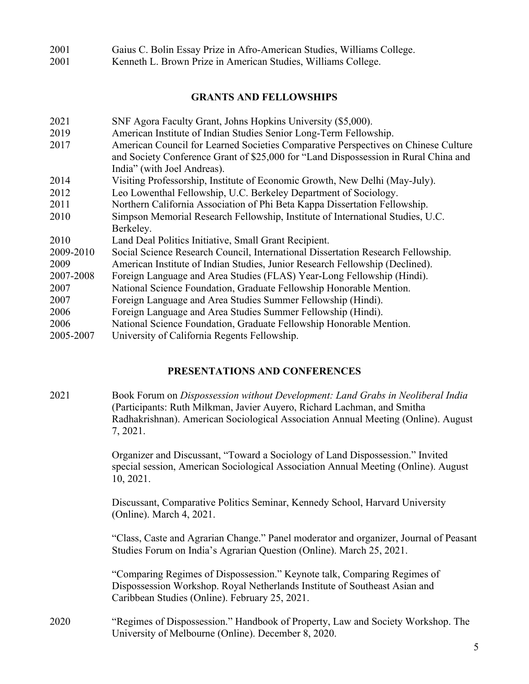| 2001 |  |  | Gaius C. Bolin Essay Prize in Afro-American Studies, Williams College. |  |  |  |
|------|--|--|------------------------------------------------------------------------|--|--|--|
|------|--|--|------------------------------------------------------------------------|--|--|--|

2001 Kenneth L. Brown Prize in American Studies, Williams College.

#### **GRANTS AND FELLOWSHIPS**

| SNF Agora Faculty Grant, Johns Hopkins University (\$5,000).                        |
|-------------------------------------------------------------------------------------|
| American Institute of Indian Studies Senior Long-Term Fellowship.                   |
| American Council for Learned Societies Comparative Perspectives on Chinese Culture  |
| and Society Conference Grant of \$25,000 for "Land Dispossession in Rural China and |
| India" (with Joel Andreas).                                                         |
| Visiting Professorship, Institute of Economic Growth, New Delhi (May-July).         |
| Leo Lowenthal Fellowship, U.C. Berkeley Department of Sociology.                    |
| Northern California Association of Phi Beta Kappa Dissertation Fellowship.          |
| Simpson Memorial Research Fellowship, Institute of International Studies, U.C.      |
| Berkeley.                                                                           |
| Land Deal Politics Initiative, Small Grant Recipient.                               |
| Social Science Research Council, International Dissertation Research Fellowship.    |
| American Institute of Indian Studies, Junior Research Fellowship (Declined).        |
| Foreign Language and Area Studies (FLAS) Year-Long Fellowship (Hindi).              |
| National Science Foundation, Graduate Fellowship Honorable Mention.                 |
| Foreign Language and Area Studies Summer Fellowship (Hindi).                        |
| Foreign Language and Area Studies Summer Fellowship (Hindi).                        |
| National Science Foundation, Graduate Fellowship Honorable Mention.                 |
| University of California Regents Fellowship.                                        |
|                                                                                     |

#### **PRESENTATIONS AND CONFERENCES**

2021 Book Forum on *Dispossession without Development: Land Grabs in Neoliberal India* (Participants: Ruth Milkman, Javier Auyero, Richard Lachman, and Smitha Radhakrishnan). American Sociological Association Annual Meeting (Online). August 7, 2021.

> Organizer and Discussant, "Toward a Sociology of Land Dispossession." Invited special session, American Sociological Association Annual Meeting (Online). August 10, 2021.

Discussant, Comparative Politics Seminar, Kennedy School, Harvard University (Online). March 4, 2021.

"Class, Caste and Agrarian Change." Panel moderator and organizer, Journal of Peasant Studies Forum on India's Agrarian Question (Online). March 25, 2021.

"Comparing Regimes of Dispossession." Keynote talk, Comparing Regimes of Dispossession Workshop. Royal Netherlands Institute of Southeast Asian and Caribbean Studies (Online). February 25, 2021.

2020 "Regimes of Dispossession." Handbook of Property, Law and Society Workshop. The University of Melbourne (Online). December 8, 2020.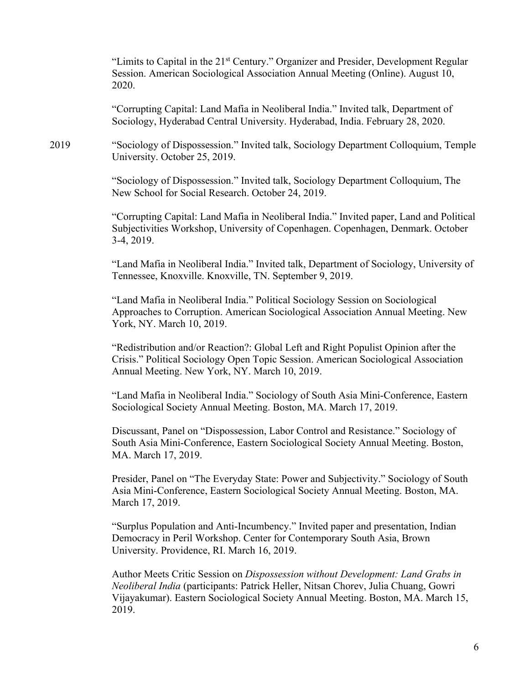"Limits to Capital in the 21<sup>st</sup> Century." Organizer and Presider, Development Regular Session. American Sociological Association Annual Meeting (Online). August 10, 2020.

"Corrupting Capital: Land Mafia in Neoliberal India." Invited talk, Department of Sociology, Hyderabad Central University. Hyderabad, India. February 28, 2020.

2019 "Sociology of Dispossession." Invited talk, Sociology Department Colloquium, Temple University. October 25, 2019.

> "Sociology of Dispossession." Invited talk, Sociology Department Colloquium, The New School for Social Research. October 24, 2019.

"Corrupting Capital: Land Mafia in Neoliberal India." Invited paper, Land and Political Subjectivities Workshop, University of Copenhagen. Copenhagen, Denmark. October 3-4, 2019.

"Land Mafia in Neoliberal India." Invited talk, Department of Sociology, University of Tennessee, Knoxville. Knoxville, TN. September 9, 2019.

"Land Mafia in Neoliberal India." Political Sociology Session on Sociological Approaches to Corruption. American Sociological Association Annual Meeting. New York, NY. March 10, 2019.

"Redistribution and/or Reaction?: Global Left and Right Populist Opinion after the Crisis." Political Sociology Open Topic Session. American Sociological Association Annual Meeting. New York, NY. March 10, 2019.

"Land Mafia in Neoliberal India." Sociology of South Asia Mini-Conference, Eastern Sociological Society Annual Meeting. Boston, MA. March 17, 2019.

Discussant, Panel on "Dispossession, Labor Control and Resistance." Sociology of South Asia Mini-Conference, Eastern Sociological Society Annual Meeting. Boston, MA. March 17, 2019.

Presider, Panel on "The Everyday State: Power and Subjectivity." Sociology of South Asia Mini-Conference, Eastern Sociological Society Annual Meeting. Boston, MA. March 17, 2019.

"Surplus Population and Anti-Incumbency." Invited paper and presentation, Indian Democracy in Peril Workshop. Center for Contemporary South Asia, Brown University. Providence, RI. March 16, 2019.

Author Meets Critic Session on *Dispossession without Development: Land Grabs in Neoliberal India* (participants: Patrick Heller, Nitsan Chorev, Julia Chuang, Gowri Vijayakumar). Eastern Sociological Society Annual Meeting. Boston, MA. March 15, 2019.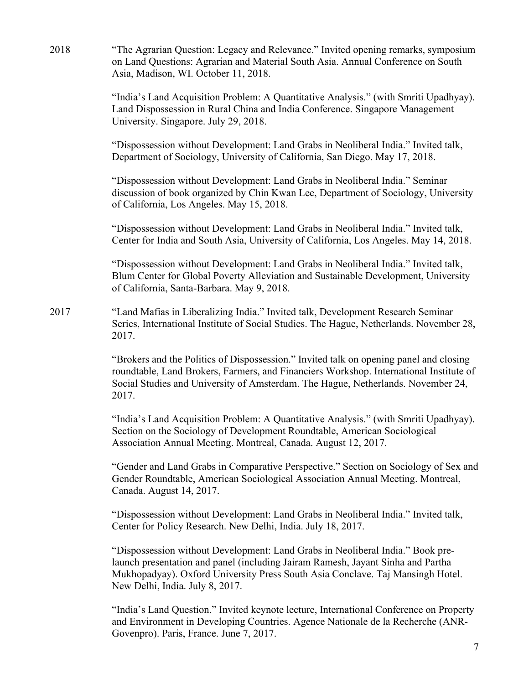2018 "The Agrarian Question: Legacy and Relevance." Invited opening remarks, symposium on Land Questions: Agrarian and Material South Asia. Annual Conference on South Asia, Madison, WI. October 11, 2018.

> "India's Land Acquisition Problem: A Quantitative Analysis." (with Smriti Upadhyay). Land Dispossession in Rural China and India Conference. Singapore Management University. Singapore. July 29, 2018.

"Dispossession without Development: Land Grabs in Neoliberal India." Invited talk, Department of Sociology, University of California, San Diego. May 17, 2018.

"Dispossession without Development: Land Grabs in Neoliberal India." Seminar discussion of book organized by Chin Kwan Lee, Department of Sociology, University of California, Los Angeles. May 15, 2018.

"Dispossession without Development: Land Grabs in Neoliberal India." Invited talk, Center for India and South Asia, University of California, Los Angeles. May 14, 2018.

"Dispossession without Development: Land Grabs in Neoliberal India." Invited talk, Blum Center for Global Poverty Alleviation and Sustainable Development, University of California, Santa-Barbara. May 9, 2018.

2017 "Land Mafias in Liberalizing India." Invited talk, Development Research Seminar Series, International Institute of Social Studies. The Hague, Netherlands. November 28, 2017.

> "Brokers and the Politics of Dispossession." Invited talk on opening panel and closing roundtable, Land Brokers, Farmers, and Financiers Workshop. International Institute of Social Studies and University of Amsterdam. The Hague, Netherlands. November 24, 2017.

> "India's Land Acquisition Problem: A Quantitative Analysis." (with Smriti Upadhyay). Section on the Sociology of Development Roundtable, American Sociological Association Annual Meeting. Montreal, Canada. August 12, 2017.

"Gender and Land Grabs in Comparative Perspective." Section on Sociology of Sex and Gender Roundtable, American Sociological Association Annual Meeting. Montreal, Canada. August 14, 2017.

"Dispossession without Development: Land Grabs in Neoliberal India." Invited talk, Center for Policy Research. New Delhi, India. July 18, 2017.

"Dispossession without Development: Land Grabs in Neoliberal India." Book prelaunch presentation and panel (including Jairam Ramesh, Jayant Sinha and Partha Mukhopadyay). Oxford University Press South Asia Conclave. Taj Mansingh Hotel. New Delhi, India. July 8, 2017.

"India's Land Question." Invited keynote lecture, International Conference on Property and Environment in Developing Countries. Agence Nationale de la Recherche (ANR-Govenpro). Paris, France. June 7, 2017.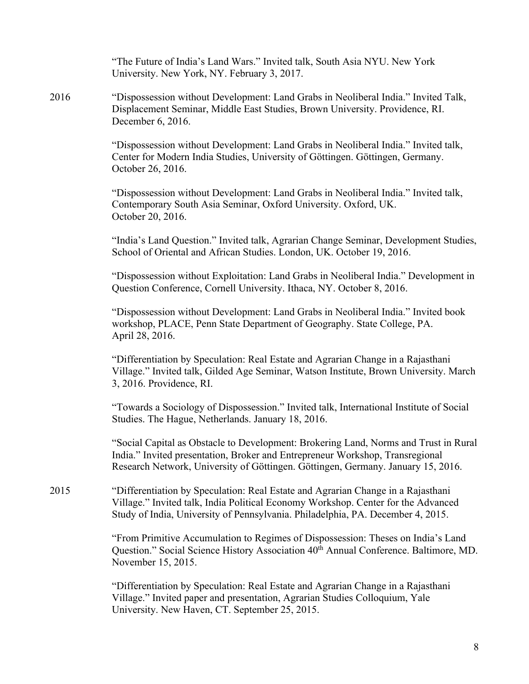"The Future of India's Land Wars." Invited talk, South Asia NYU. New York University. New York, NY. February 3, 2017.

2016 "Dispossession without Development: Land Grabs in Neoliberal India." Invited Talk, Displacement Seminar, Middle East Studies, Brown University. Providence, RI. December 6, 2016.

> "Dispossession without Development: Land Grabs in Neoliberal India." Invited talk, Center for Modern India Studies, University of Göttingen. Göttingen, Germany. October 26, 2016.

> "Dispossession without Development: Land Grabs in Neoliberal India." Invited talk, Contemporary South Asia Seminar, Oxford University. Oxford, UK. October 20, 2016.

"India's Land Question." Invited talk, Agrarian Change Seminar, Development Studies, School of Oriental and African Studies. London, UK. October 19, 2016.

"Dispossession without Exploitation: Land Grabs in Neoliberal India." Development in Question Conference, Cornell University. Ithaca, NY. October 8, 2016.

"Dispossession without Development: Land Grabs in Neoliberal India." Invited book workshop, PLACE, Penn State Department of Geography. State College, PA. April 28, 2016.

"Differentiation by Speculation: Real Estate and Agrarian Change in a Rajasthani Village." Invited talk, Gilded Age Seminar, Watson Institute, Brown University. March 3, 2016. Providence, RI.

"Towards a Sociology of Dispossession." Invited talk, International Institute of Social Studies. The Hague, Netherlands. January 18, 2016.

"Social Capital as Obstacle to Development: Brokering Land, Norms and Trust in Rural India." Invited presentation, Broker and Entrepreneur Workshop, Transregional Research Network, University of Göttingen. Göttingen, Germany. January 15, 2016.

2015 "Differentiation by Speculation: Real Estate and Agrarian Change in a Rajasthani Village." Invited talk, India Political Economy Workshop. Center for the Advanced Study of India, University of Pennsylvania. Philadelphia, PA. December 4, 2015.

> "From Primitive Accumulation to Regimes of Dispossession: Theses on India's Land Question." Social Science History Association 40<sup>th</sup> Annual Conference. Baltimore, MD. November 15, 2015.

"Differentiation by Speculation: Real Estate and Agrarian Change in a Rajasthani Village." Invited paper and presentation, Agrarian Studies Colloquium, Yale University. New Haven, CT. September 25, 2015.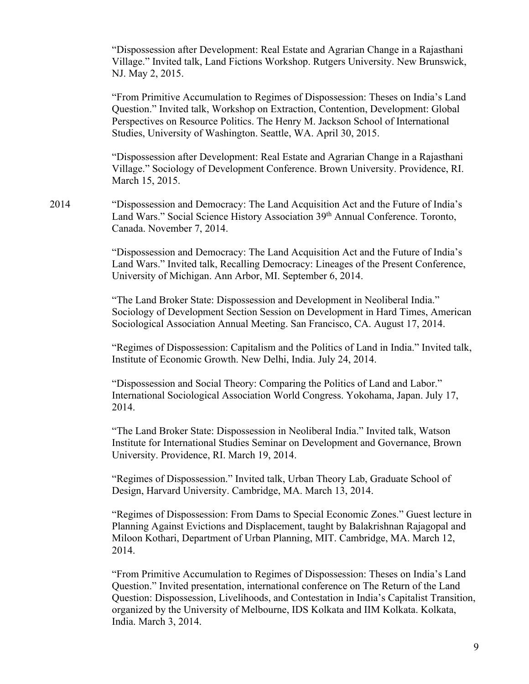"Dispossession after Development: Real Estate and Agrarian Change in a Rajasthani Village." Invited talk, Land Fictions Workshop. Rutgers University. New Brunswick, NJ. May 2, 2015.

"From Primitive Accumulation to Regimes of Dispossession: Theses on India's Land Question." Invited talk, Workshop on Extraction, Contention, Development: Global Perspectives on Resource Politics. The Henry M. Jackson School of International Studies, University of Washington. Seattle, WA. April 30, 2015.

"Dispossession after Development: Real Estate and Agrarian Change in a Rajasthani Village." Sociology of Development Conference. Brown University. Providence, RI. March 15, 2015.

2014 "Dispossession and Democracy: The Land Acquisition Act and the Future of India's Land Wars." Social Science History Association 39<sup>th</sup> Annual Conference. Toronto, Canada. November 7, 2014.

> "Dispossession and Democracy: The Land Acquisition Act and the Future of India's Land Wars." Invited talk, Recalling Democracy: Lineages of the Present Conference, University of Michigan. Ann Arbor, MI. September 6, 2014.

"The Land Broker State: Dispossession and Development in Neoliberal India." Sociology of Development Section Session on Development in Hard Times, American Sociological Association Annual Meeting. San Francisco, CA. August 17, 2014.

"Regimes of Dispossession: Capitalism and the Politics of Land in India." Invited talk, Institute of Economic Growth. New Delhi, India. July 24, 2014.

"Dispossession and Social Theory: Comparing the Politics of Land and Labor." International Sociological Association World Congress. Yokohama, Japan. July 17, 2014.

"The Land Broker State: Dispossession in Neoliberal India." Invited talk, Watson Institute for International Studies Seminar on Development and Governance, Brown University. Providence, RI. March 19, 2014.

"Regimes of Dispossession." Invited talk, Urban Theory Lab, Graduate School of Design, Harvard University. Cambridge, MA. March 13, 2014.

"Regimes of Dispossession: From Dams to Special Economic Zones." Guest lecture in Planning Against Evictions and Displacement, taught by Balakrishnan Rajagopal and Miloon Kothari, Department of Urban Planning, MIT. Cambridge, MA. March 12, 2014.

"From Primitive Accumulation to Regimes of Dispossession: Theses on India's Land Question." Invited presentation, international conference on The Return of the Land Question: Dispossession, Livelihoods, and Contestation in India's Capitalist Transition, organized by the University of Melbourne, IDS Kolkata and IIM Kolkata. Kolkata, India. March 3, 2014.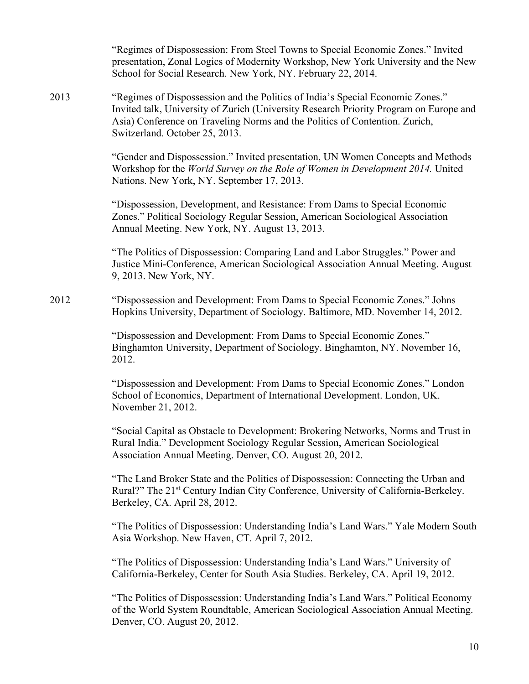"Regimes of Dispossession: From Steel Towns to Special Economic Zones." Invited presentation, Zonal Logics of Modernity Workshop, New York University and the New School for Social Research. New York, NY. February 22, 2014. 2013 "Regimes of Dispossession and the Politics of India's Special Economic Zones." Invited talk, University of Zurich (University Research Priority Program on Europe and Asia) Conference on Traveling Norms and the Politics of Contention. Zurich, Switzerland. October 25, 2013. "Gender and Dispossession." Invited presentation, UN Women Concepts and Methods Workshop for the *World Survey on the Role of Women in Development 2014.* United Nations. New York, NY. September 17, 2013. "Dispossession, Development, and Resistance: From Dams to Special Economic Zones." Political Sociology Regular Session, American Sociological Association Annual Meeting. New York, NY. August 13, 2013. "The Politics of Dispossession: Comparing Land and Labor Struggles." Power and Justice Mini-Conference, American Sociological Association Annual Meeting. August 9, 2013. New York, NY. 2012 "Dispossession and Development: From Dams to Special Economic Zones." Johns Hopkins University, Department of Sociology. Baltimore, MD. November 14, 2012. "Dispossession and Development: From Dams to Special Economic Zones." Binghamton University, Department of Sociology. Binghamton, NY. November 16, 2012. "Dispossession and Development: From Dams to Special Economic Zones." London School of Economics, Department of International Development. London, UK. November 21, 2012. "Social Capital as Obstacle to Development: Brokering Networks, Norms and Trust in Rural India." Development Sociology Regular Session, American Sociological Association Annual Meeting. Denver, CO. August 20, 2012. "The Land Broker State and the Politics of Dispossession: Connecting the Urban and Rural?" The 21<sup>st</sup> Century Indian City Conference, University of California-Berkeley. Berkeley, CA. April 28, 2012. "The Politics of Dispossession: Understanding India's Land Wars." Yale Modern South Asia Workshop. New Haven, CT. April 7, 2012. "The Politics of Dispossession: Understanding India's Land Wars." University of California-Berkeley, Center for South Asia Studies. Berkeley, CA. April 19, 2012. "The Politics of Dispossession: Understanding India's Land Wars." Political Economy of the World System Roundtable, American Sociological Association Annual Meeting. Denver, CO. August 20, 2012.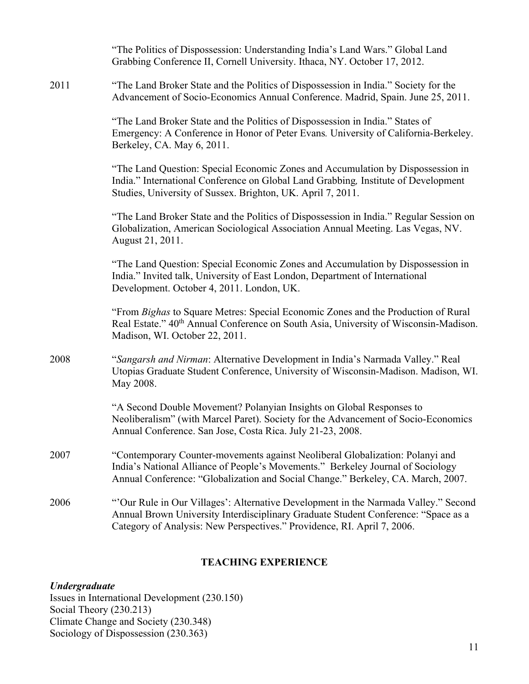|      | "The Politics of Dispossession: Understanding India's Land Wars." Global Land<br>Grabbing Conference II, Cornell University. Ithaca, NY. October 17, 2012.                                                                                           |
|------|------------------------------------------------------------------------------------------------------------------------------------------------------------------------------------------------------------------------------------------------------|
| 2011 | "The Land Broker State and the Politics of Dispossession in India." Society for the<br>Advancement of Socio-Economics Annual Conference. Madrid, Spain. June 25, 2011.                                                                               |
|      | "The Land Broker State and the Politics of Dispossession in India." States of<br>Emergency: A Conference in Honor of Peter Evans. University of California-Berkeley.<br>Berkeley, CA. May 6, 2011.                                                   |
|      | "The Land Question: Special Economic Zones and Accumulation by Dispossession in<br>India." International Conference on Global Land Grabbing, Institute of Development<br>Studies, University of Sussex. Brighton, UK. April 7, 2011.                 |
|      | "The Land Broker State and the Politics of Dispossession in India." Regular Session on<br>Globalization, American Sociological Association Annual Meeting. Las Vegas, NV.<br>August 21, 2011.                                                        |
|      | "The Land Question: Special Economic Zones and Accumulation by Dispossession in<br>India." Invited talk, University of East London, Department of International<br>Development. October 4, 2011. London, UK.                                         |
|      | "From Bighas to Square Metres: Special Economic Zones and the Production of Rural<br>Real Estate." 40 <sup>th</sup> Annual Conference on South Asia, University of Wisconsin-Madison.<br>Madison, WI. October 22, 2011.                              |
| 2008 | "Sangarsh and Nirman: Alternative Development in India's Narmada Valley." Real<br>Utopias Graduate Student Conference, University of Wisconsin-Madison. Madison, WI.<br>May 2008.                                                                    |
|      | "A Second Double Movement? Polanyian Insights on Global Responses to<br>Neoliberalism" (with Marcel Paret). Society for the Advancement of Socio-Economics<br>Annual Conference. San Jose, Costa Rica. July 21-23, 2008.                             |
| 2007 | "Contemporary Counter-movements against Neoliberal Globalization: Polanyi and<br>India's National Alliance of People's Movements." Berkeley Journal of Sociology<br>Annual Conference: "Globalization and Social Change." Berkeley, CA. March, 2007. |
| 2006 | "Our Rule in Our Villages': Alternative Development in the Narmada Valley." Second<br>Annual Brown University Interdisciplinary Graduate Student Conference: "Space as a<br>Category of Analysis: New Perspectives." Providence, RI. April 7, 2006.  |
|      |                                                                                                                                                                                                                                                      |

### **TEACHING EXPERIENCE**

## *Undergraduate*

Issues in International Development (230.150) Social Theory (230.213) Climate Change and Society (230.348) Sociology of Dispossession (230.363)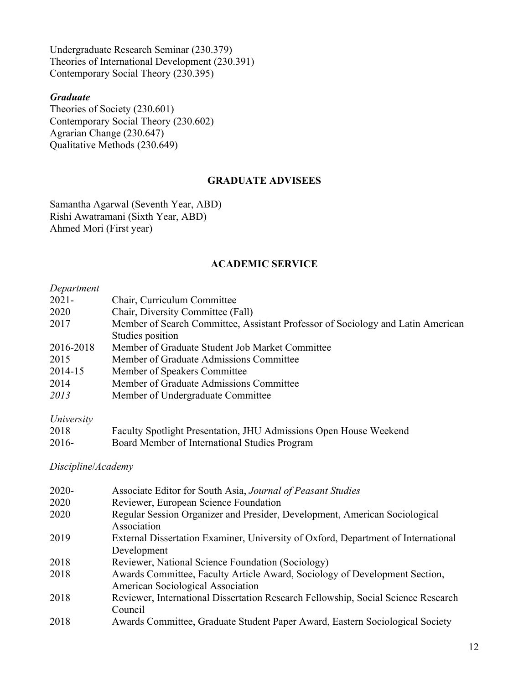Undergraduate Research Seminar (230.379) Theories of International Development (230.391) Contemporary Social Theory (230.395)

#### *Graduate*

Theories of Society (230.601) Contemporary Social Theory (230.602) Agrarian Change (230.647) Qualitative Methods (230.649)

#### **GRADUATE ADVISEES**

Samantha Agarwal (Seventh Year, ABD) Rishi Awatramani (Sixth Year, ABD) Ahmed Mori (First year)

#### **ACADEMIC SERVICE**

#### *Department*

| $2021 -$  | Chair, Curriculum Committee                                                     |
|-----------|---------------------------------------------------------------------------------|
| 2020      | Chair, Diversity Committee (Fall)                                               |
| 2017      | Member of Search Committee, Assistant Professor of Sociology and Latin American |
|           | Studies position                                                                |
| 2016-2018 | Member of Graduate Student Job Market Committee                                 |
| 2015      | Member of Graduate Admissions Committee                                         |
| 2014-15   | Member of Speakers Committee                                                    |
| 2014      | Member of Graduate Admissions Committee                                         |
| 2013      | Member of Undergraduate Committee                                               |
|           |                                                                                 |

### *University*

| 2018    | Faculty Spotlight Presentation, JHU Admissions Open House Weekend |
|---------|-------------------------------------------------------------------|
| $2016-$ | Board Member of International Studies Program                     |

## *Discipline*/*Academy*

| $2020 -$ | Associate Editor for South Asia, Journal of Peasant Studies                       |
|----------|-----------------------------------------------------------------------------------|
| 2020     | Reviewer, European Science Foundation                                             |
| 2020     | Regular Session Organizer and Presider, Development, American Sociological        |
|          | Association                                                                       |
| 2019     | External Dissertation Examiner, University of Oxford, Department of International |
|          | Development                                                                       |
| 2018     | Reviewer, National Science Foundation (Sociology)                                 |
| 2018     | Awards Committee, Faculty Article Award, Sociology of Development Section,        |
|          | American Sociological Association                                                 |
| 2018     | Reviewer, International Dissertation Research Fellowship, Social Science Research |
|          | Council                                                                           |
| 2018     | Awards Committee, Graduate Student Paper Award, Eastern Sociological Society      |